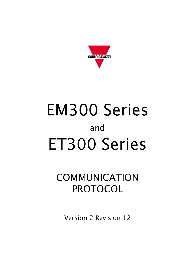

# EM300 Series and ET300 Series

# COMMUNICATION PROTOCOL

Version 2 Revision 12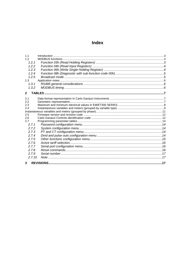# **Index**

| 1.1          |  |
|--------------|--|
| 1.2          |  |
| 1.2.1        |  |
| 1.2.2        |  |
| 1.2.3        |  |
| 1.2.4        |  |
| 1.2.5        |  |
| 1.3          |  |
| 1, 3, 1      |  |
| 1.3.2        |  |
| $\mathbf{2}$ |  |
|              |  |
| 2.1          |  |
| 2.2          |  |
| 2.3          |  |
| 2.4          |  |
| 2.5          |  |
| 2.6          |  |
| 2.7          |  |
| 2.7.1        |  |
| 2.7.2        |  |
| 2.7.3        |  |
| 2.7.4        |  |
| 2.7.5        |  |
| 2.76         |  |
| 2.7.7        |  |
| 2.7.8        |  |
| 2.7.9        |  |
| 2.7.10       |  |
| 3            |  |
|              |  |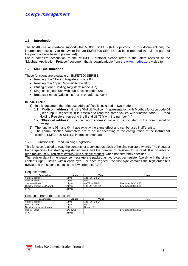#### <span id="page-2-0"></span>**1.1 Introduction**

The RS485 serial interface supports the MODBUS/JBUS (RTU) protocol. In this document only the information necessary to read/write from/to EM/ET300 SERIES has been reported (not all the parts of the protocol have been implemented).

For a complete description of the MODBUS protocol please refer to the latest revision of the "Modbus Application Protocol" document that is downloadable from the [www.modbus.org](http://www.modbus.org/) web site.

#### <span id="page-2-1"></span>**1.2 MODBUS functions**

These functions are available on EM/ET300 SERIES:

- Reading of n "Holding Registers" (code 03h)
- Reading of n "Input Register" (code 04h)
- Writing of one "Holding Registers" (code 06h)
- Diagnostic (code 08h with sub-function code 00h)
- Broadcast mode (writing instruction on address 00h)

#### **IMPORTANT:**

- 1) In this document the "Modbus address" field is indicated in two modes:
	- 1.1) "**Modicom address**": it is the "6-digit Modicom" representation with Modbus function code 04 (Read Input Registers). It is possible to read the same values with function code 03 (Read Holding Registers) replacing the first digit ("3") with the number "4".
	- 1.2) "**Physical address**": it is the "word address" value to be included in the communication frame.
- 2) The functions 03h and 04h have exactly the same effect and can be used indifferently.
- 3) The communication parameters are to be set according to the configuration of the instrument (refer to EM/ET300 SERIES instruction manual)

#### <span id="page-2-2"></span>1.2.1 Function 03h (Read Holding Registers)

This function is used to read the contents of a contiguous block of holding registers (word). The Request frame specifies the starting register address and the number of registers to be read. It is possible to read maximum 50 registers (words) with a single request, when not differently specified.

The register data in the response message are packed as two bytes per register (word), with the binary contents right justified within each byte. For each register, the first byte contains the high order bits (MSB) and the second contains the low order bits (LSB).

#### Request frame

| <b>Description</b>             | Lenath  | Value               | <b>Note</b>          |
|--------------------------------|---------|---------------------|----------------------|
| Physical address               | byte    | 1 to F7h (1 to 247) |                      |
| Function code                  | byte    | 03h                 |                      |
| Starting address               | 2 bytes | 0000h to FFFFh      | Byte order: MSB, LSB |
| Quantity of registers (N word) | 2 bytes | 1 to 14h (1 to 20)  | Byte order: MSB, LSB |
| <b>CRC</b>                     | 2 bytes |                     |                      |

#### Response frame (correct action)

| <u>INGODONIJO HUMIJO I ODITOOL UUMOHIJ</u> |               |                     |                      |  |  |
|--------------------------------------------|---------------|---------------------|----------------------|--|--|
| <b>Description</b>                         | Lenath        | Value               | <b>Note</b>          |  |  |
| Physical address                           | byte          | 1 to F7h (1 to 247) |                      |  |  |
| Function code                              | byte          | 03h                 |                      |  |  |
| Quantity of requested bytes                | byte          | N word $*$ 2        |                      |  |  |
| Register value                             | $N^*$ 2 bytes |                     | Byte order: MSB, LSB |  |  |
| <b>CRC</b>                                 | 2 bytes       |                     |                      |  |  |

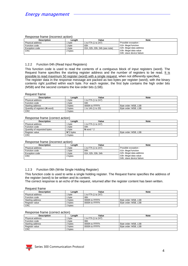#### Response frame (incorrect action)

| <b>Description</b> | Lenath  | Value                         | <b>Note</b>               |  |
|--------------------|---------|-------------------------------|---------------------------|--|
| Physical address   | byte    | 1 to F7h (1 to 247)           | Possible exception :      |  |
| Function code      | byte    | 83h                           | 01h: illegal function     |  |
| Exception code     | byte    | 01h, 02h, 03h, 04h (see note) | 02h: illegal data address |  |
| <b>CRC</b>         | 2 bytes |                               | 03h: illegal data value   |  |
|                    |         |                               | 04h: slave device failure |  |

#### <span id="page-3-0"></span>1.2.2 Function 04h (Read Input Registers)

This function code is used to read the contents of a contiguous block of input registers (word). The Request frame specifies the starting register address and the number of registers to be read. It is possible to read maximum 50 register (word) with a single request, when not differently specified. The register data in the response message are packed as two bytes per register (word), with the binary contents right justified within each byte. For each register, the first byte contains the high order bits (MSB) and the second contains the low order bits (LSB).

#### Request frame

| <b>Description</b>             | Lenath  | Value               | <b>Note</b>          |
|--------------------------------|---------|---------------------|----------------------|
| Physical address               | byte    | 1 to F7h (1 to 247) |                      |
| Function code                  | byte    | 04h                 |                      |
| Starting address               | 2 bytes | 0000h to FFFFh      | Byte order: MSB, LSB |
| Quantity of registers (N word) | 2 bytes | 1 to 14h (1 to 20)  | Byte order: MSB, LSB |
| <b>CRC</b>                     | 2 bytes |                     |                      |

#### Response frame (correct action)

| <b>Description</b>          | Length        | Value               | <b>Note</b>          |
|-----------------------------|---------------|---------------------|----------------------|
| Physical address            | byte          | 1 to F7h (1 to 247) |                      |
| Function code               | byte          | 04h                 |                      |
| Quantity of requested bytes | byte          | $N$ word $*$ 2      |                      |
| Register value              | $N^*$ 2 bytes |                     | Byte order: MSB, LSB |
| <b>CRC</b>                  | 2 bvtes       |                     |                      |

#### Response frame (incorrect action)

| <b>Description</b> | Lenath  | Value               | <b>Note</b>               |
|--------------------|---------|---------------------|---------------------------|
| Physical address   | byte    | 1 to F7h (1 to 247) | Possible exception :      |
| Function code      | byte    | 84h                 | 01h: illegal function     |
| Exception code     | byte    | 01h. 02h. 03h. 04h  | 02h: illegal data address |
| <b>CRC</b>         | 2 bytes |                     | 03h: illegal data value   |
|                    |         |                     | 04h: slave device failure |

#### <span id="page-3-1"></span>1.2.3 Function 06h (Write Single Holding Register)

This function code is used to write a single holding register. The Request frame specifies the address of the register (word) to be written and its content.

The correct response is an echo of the request, returned after the register content has been written.

#### Request frame

| Description      | Lenath  | Value               | <b>Note</b>          |
|------------------|---------|---------------------|----------------------|
| Physical address | byte    | 1 to F7h (1 to 247) |                      |
| Function code    | byte    | 06h                 |                      |
| Starting address | 2 bytes | 0000h to FFFFh      | Byte order: MSB, LSB |
| Register value   | 2 bytes | 0000h to FFFFh      | Byte order: MSB, LSB |
| <b>CRC</b>       | 2 bytes |                     |                      |

#### Response frame (correct action)

| <b>Description</b> | Lenath  | Value               | <b>Note</b>          |
|--------------------|---------|---------------------|----------------------|
| Physical address   | byte    | 1 to F7h (1 to 247) |                      |
| Function code      | byte    | 06h                 |                      |
| Starting address   | 2 bvtes | 0000h to FFFFh      | Byte order: MSB, LSB |
| Register value     | 2 bvtes | 0000h to FFFFh      | Byte order: MSB, LSB |
| <b>CRC</b>         | 2 bvtes |                     |                      |

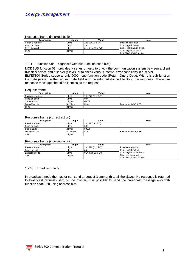#### Response frame (incorrect action)

| <b>Description</b>    | Lenath  | Value               | <b>Note</b>               |
|-----------------------|---------|---------------------|---------------------------|
| Physical address      | byte    | 1 to F7h (1 to 247) | Possible exception :      |
| Function code         | byte    | 86h                 | 01h: illegal function     |
| <b>Exception code</b> | byte    | 01h, 02h, 03h, 04h  | 02h: illegal data address |
| <b>CRC</b>            | 2 bytes |                     | 03h: illegal data value   |
|                       |         |                     | 04h: slave device failure |

#### <span id="page-4-0"></span>1.2.4 Function 08h (Diagnostic with sub-function code 00h)

MODBUS function 08h provides a series of tests to check the communication system between a client (Master) device and a server (Slave), or to check various internal error conditions in a server. EM/ET300 Series supports only 0000h sub-function code (Return Query Data). With this sub-function the data passed in the request data field is to be returned (looped back) in the response. The entire response message should be identical to the request.

#### Request frame

| Description      | Length        | Value               | <b>Note</b>          |
|------------------|---------------|---------------------|----------------------|
| Physical address | bvte          | 1 to F7h (1 to 247) |                      |
| Function code    | byte          | 08h                 |                      |
| Sub-function     | 2 bytes       | 0000h               |                      |
| Data (N word)    | $N^*$ 2 bytes | Data                | Byte order: MSB, LSB |
| <b>CRC</b>       | 2 bytes       |                     |                      |

#### Response frame (correct action)

| <b>Description</b> | Lenath       | Value            | <b>Note</b>          |
|--------------------|--------------|------------------|----------------------|
| Physical address   | bvte         | to F7 (1 to 247) |                      |
| Function code      | bvte         | 08h              |                      |
| Sub-function       | 2 bytes      | 0000h            |                      |
| Data (N word)      | $N$ *2 bytes | Data             | Byte order: MSB, LSB |
| <b>CRC</b>         | 2 bytes      |                  |                      |

#### Response frame (incorrect action)

| <b>Description</b>    | Lenath  | Value               | <b>Note</b>               |
|-----------------------|---------|---------------------|---------------------------|
| Physical address      | byte    | I to F7h (1 to 247) | Possible exception :      |
| Function code         | byte    | 88h                 | 01h: illegal function     |
| <b>Exception code</b> | bvte    | 01h. 02h. 03h. 04h  | 02h: illegal data address |
| <b>CRC</b>            | 2 bytes |                     | 03h: illegal data value   |
|                       |         |                     | 04h: slave device failure |

#### <span id="page-4-1"></span>1.2.5 Broadcast mode

In broadcast mode the master can send a request (command) to all the slaves. No response is returned to broadcast requests sent by the master. It is possible to send the broadcast message only with function code 06h using address 00h.

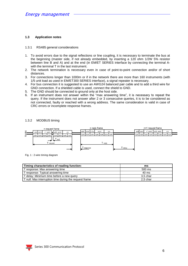#### <span id="page-5-0"></span>**1.3 Application notes**

#### <span id="page-5-1"></span>1.3.1 RS485 general considerations

- 1. To avoid errors due to the signal reflections or line coupling, it is necessary to terminate the bus at the beginning (master side, if not already embedded, by inserting a 120 ohm 1/2W 5% resistor between line B and A) and at the end (in EM/ET SERIES interface by connecting the terminal Awith the terminal T in the last instrument.
- 2. The network termination is necessary even in case of point-to-point connection and/or of short distances.
- 3. For connections longer than 1000m or if in the network there are more than 160 instruments (with 1/5 unit load as used in EM/ET300 SERIES interface), a signal repeater is necessary.
- 4. For bus connection it is suggested to use an AWG24 balanced pair cable and to add a third wire for GND connection. If a shielded cable is used, connect the shield to GND.
- 5. The GND should be connected to ground only at the host side.
- 6. If an instrument does not answer within the "max answering time", it is necessary to repeat the query. If the instrument does not answer after 2 or 3 consecutive queries, it is to be considered as not connected, faulty or reached with a wrong address. The same consideration is valid in case of CRC errors or incomplete response frames.

#### <span id="page-5-2"></span>1.3.2 MODBUS timing



Fig. 1 : 2-wire timing diagram

| Timing characteristics of reading function:            | ms       |
|--------------------------------------------------------|----------|
| T response: Max answering time                         | 500 ms   |
| T response: Typical answering time                     | 40 ms    |
| T delay: Minimum time before a new query               | 3.5 char |
| T null: Max interruption time during the request frame | 2.5 char |

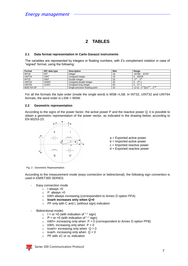# **2 TABLES**

#### <span id="page-6-1"></span><span id="page-6-0"></span>**2.1 Data format representation In Carlo Gavazzi instruments**

The variables are represented by integers or floating numbers, with 2's complement notation in case of "signed" format, using the following:

| Format             | <b>IEC data type</b> | <b>Description</b>              | <b>Bits</b> | Range                                            |
|--------------------|----------------------|---------------------------------|-------------|--------------------------------------------------|
| INT <sub>16</sub>  | INT                  | Integer                         | 16          | -3276832767                                      |
| UINT <sub>16</sub> | <b>UINT</b>          | Unsigned integer                | 16          | 0.65535                                          |
| INT32              | <b>DINT</b>          | Double integer                  | -32         | $-2^{31}$<br>$\cdot \cdot 2^{31}$                |
| UINT32             | udint                | Unsigned double integer         | -32         | $0.2^{32} - 1$                                   |
| UINT64             | ULINT                | Unsigned long integer           | 64          | $0 \cdot 2^{64} - 1$                             |
| IEEE754 SP         |                      | Single-precision floating-point | -32         | $-(1+[1-2^{-23}])\times2^{127}$ 2 <sup>128</sup> |

For all the formats the byte order (inside the single word) is MSB->LSB. In INT32, UINT32 and UINT64 formats, the word order is LSW-> MSW.

#### <span id="page-6-2"></span>**2.2 Geometric representation**

According to the signs of the power factor, the active power P and the reactive power Q, it is possible to obtain a geometric representation of the power vector, as indicated in the drawing below, according to EN 60253-23:



Fig. 2 : Geometric Representation

According to the measurement mode (easy connection or bidirectional), the following sign convention is used in EM/ET300 SERIES.

- Easy connection mode
	- $\circ$  I always  $>0$
	- $\circ$  P always  $>0$
	- o kWh always increasing (correspondent to Annex D option PFA)
	- o **kvarh increases only when Q>0**
	- o PF only with C and L (without sign) indication
- Bidirectional mode)
	- $\circ$  I < or > 0 (with indication of "-" sign)
	- $\circ$  P < or > 0 (with indication of "-" sign)
	- $\circ$  kWh+ increasing only when  $P > 0$  (correspondent to Annex D option PFB)
	- $\circ$  kWh- increasing only when  $P < 0$
	- $\circ$  kvarh+ increasing only when  $Q > 0$
	- $\circ$  kvarh- increasing only when  $Q < 0$
	- $\circ$  PF with  $\pm C$  or  $\pm L$  indication

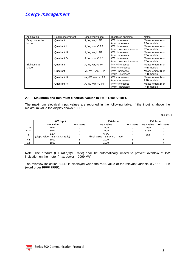| Application             | Real measurement | Displayed values               | Displayed energies                       | <b>Notes</b>                          |
|-------------------------|------------------|--------------------------------|------------------------------------------|---------------------------------------|
| Easy connection<br>Mode | Quadrant I       | A, W, var, L PF                | kWh increases<br>kvarh increases         | Measurement A or<br>PFA models        |
|                         | Quadrant II      | A, W, -var, C PF               | kWh increases<br>kvarh does not increase | Measurement A or<br>PFA models        |
|                         | Quadrant III     | A, W, var, L PF                | kWh increases<br>kvarh increases         | Measurement A or<br>PFA models        |
|                         | Quadrant IV      | A, W, -var, C PF               | kWh increases<br>kvarh does not increase | Measurement A or<br><b>PFA</b> models |
| Bidirectional<br>Mode   | Quadrant I       | A, W, var, +L PF               | kWh+ increases<br>kvarh+ increases       | Measurement B or<br>PFB models        |
|                         | Quadrant II      | $-A$ , $-W$ , $+var$ , $-C$ PF | kWh-increases<br>kvarh+ increases        | Measurement B or<br><b>PFB</b> models |
|                         | Quadrant III     | $-A$ , $-W$ , $-var$ , $-L$ PF | kWh-increases<br>kvarh-increases         | Measurement B or<br>PFB models        |
|                         | Quadrant IV      | A, W, -var, $+C$ PF            | kWh+ increases<br>kvarh-increases        | Measurement B or<br>PFB models        |

#### <span id="page-7-0"></span>**2.3 Maximum and minimum electrical values in EM/ET300 SERIES**

The maximum electrical input values are reported in the following table. If the input is above the maximum value the display shows "EEE".

Table 2.1-1

|      | AV5 input                                   |           | AV6 input                                   | AV2 input |           |           |
|------|---------------------------------------------|-----------|---------------------------------------------|-----------|-----------|-----------|
|      | Max value                                   | Min value | Max value                                   | Min value | Max value | Min value |
| VL-N | 485V                                        |           | 150V                                        |           | 299V      |           |
| VL-L | 840V                                        |           | 260V                                        |           | 518V      |           |
| A    | 6,5A<br>(displ. value = $6.5$ A x CT ratio) | 0         | 6,5A<br>(displ. value = $6.5$ A x CT ratio) |           | 78A       |           |
| VT   | 1000                                        |           | 1000                                        |           |           |           |
| СT   | 1000                                        |           | 1000                                        |           |           |           |

Note: The product (CT ratio)x(VT ratio) shall be automatically limited to prevent overflow of kW indication on the meter (max power = 9999 kW).

The overflow indication "EEE" is displayed when the MSB value of the relevant variable is 7FFFFFFFh (word order FFFF 7FFF).

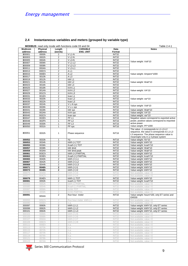#### <span id="page-8-0"></span>**2.4 Instantaneous variables and meters (grouped by variable type)**

|                |          |                         | <b>MODBUS:</b> read only mode with functions code 03 and 04 |                   | Table 2.4-1                                                                                                                    |
|----------------|----------|-------------------------|-------------------------------------------------------------|-------------------|--------------------------------------------------------------------------------------------------------------------------------|
| <b>Modicom</b> | Physical | Length                  | <b>VARIABLE</b>                                             | Data              | <b>Notes</b>                                                                                                                   |
| address        | address  | (words)                 | <b>ENG. UNIT</b>                                            | Format            |                                                                                                                                |
| 300001         | 0000h    | 2                       | $V L1-N$                                                    | <b>INT32</b>      |                                                                                                                                |
| 300003         | 0002h    | $\overline{c}$          | $V$ L <sub>2</sub> -N                                       | INT32             |                                                                                                                                |
| 300005         | 0004h    | $\overline{c}$          | V L3-N                                                      | INT32             |                                                                                                                                |
| 300007         | 0006h    | 2                       | <b>VL1-L2</b>                                               | INT32             | Value weight: Volt*10                                                                                                          |
| 300009         | 0008h    | $\overline{c}$          | $V$ L <sub>2</sub> -L <sub>3</sub>                          | INT32             |                                                                                                                                |
| 300011         | 000Ah    | 2                       | $V$ L <sub>3</sub> -L <sub>1</sub>                          | <b>INT32</b>      |                                                                                                                                |
| 300013         | 000Ch    | 2                       | AL1                                                         | INT32             |                                                                                                                                |
| 300015         | 000Eh    | $\overline{2}$          | AL <sub>2</sub>                                             | <b>INT32</b>      | Value weight: Ampere*1000                                                                                                      |
| 300017         | 0010h    | 2                       | AL3                                                         | <b>INT32</b>      |                                                                                                                                |
| 300019         | 0012h    | $\overline{\mathbf{c}}$ | kW <sub>L1</sub>                                            | <b>INT32</b>      |                                                                                                                                |
| 300021         | 0014h    | $\overline{2}$          | kW <sub>L2</sub>                                            | INT32             | Value weight: Watt*10                                                                                                          |
| 300023         | 0016h    | $\overline{2}$          | kW L3                                                       | INT32             |                                                                                                                                |
| 300025         | 0018h    | 2                       | kVAL1                                                       | INT32             |                                                                                                                                |
| 300027         | 001Ah    | $\overline{c}$          | kVAL <sub>2</sub>                                           | INT32             | Value weight: VA*10                                                                                                            |
| 300029         | 001Ch    | $\overline{\mathbf{c}}$ | kVAL3                                                       | INT32             |                                                                                                                                |
| 300031         | 001Eh    | $\overline{c}$          | kvar L1                                                     | INT32             |                                                                                                                                |
| 300033         | 0020h    | $\overline{2}$          | kvar L2                                                     | INT32             | Value weight: var*10                                                                                                           |
| 300035         | 0022h    | 2                       | kvar L3                                                     | <b>INT32</b>      |                                                                                                                                |
| 300037         | 0024h    | 2                       | V L-N sys                                                   | INT32             |                                                                                                                                |
| 300039         | 0026h    | 2                       | V L-L sys                                                   | <b>INT32</b>      | Value weight: Volt*10                                                                                                          |
| 300041         | 0028h    | 2                       | kW sys                                                      | INT32             | Value weight: Watt*10                                                                                                          |
| 300043         | 002Ah    | 2                       | kVA sys                                                     | <b>INT32</b>      | Value weight: VA*10                                                                                                            |
| 300045         | 002Ch    | $\overline{\mathbf{c}}$ | kvar sys                                                    | INT32             | Value weight: var*10                                                                                                           |
| 300047         | 002Eh    | $\mathbf{1}$            | PF <sub>L1</sub>                                            | <b>INT16</b>      | Negative values correspond to exported active                                                                                  |
| 300048         | 002Fh    | $\mathbf{1}$            | PF <sub>L2</sub>                                            | <b>INT16</b>      | power, positive values correspond to imported                                                                                  |
| 300049         | 0030h    | 1                       | PF <sub>L3</sub>                                            | INT <sub>16</sub> | active power.                                                                                                                  |
| 300050         | 0031h    | $\mathbf{1}$            | PF sys                                                      | INT16             | Value weight: PF*1000                                                                                                          |
|                |          |                         |                                                             |                   | The value -1 corresponds to L1-L3-L2                                                                                           |
| 300051         | 0032h    | $\mathbf{1}$            | Phase sequence                                              | <b>INT16</b>      | sequence, the value 0 corresponds to L1-L2-<br>L3 sequence. The phase sequence value is<br>meaningful only in a 3-phase system |
| 300052         | 0033h    | 1                       | <b>Hz</b>                                                   | <b>INT16</b>      | Value weight: Hz*10                                                                                                            |
| 300053         | 0034h    | 2                       | kWh (+) TOT                                                 | INT32             | Value weight: kWh*10                                                                                                           |
| 300055         | 0036h    | $\overline{2}$          | Kvarh (+) TOT                                               | INT32             | Value weight: kvarh*10                                                                                                         |
| 300057         | 0038h    | $\overline{\mathbf{c}}$ | kW dmd                                                      | <b>INT32</b>      | Value weight: Watt*10                                                                                                          |
| 300059         | 003Ah    | 2                       | kW dmd peak                                                 | <b>INT32</b>      | Value weight: Watt*10                                                                                                          |
| 300061         | 003Ch    | 2                       | kWh (+) PARTIAL                                             | INT32             | Value weight: kWh*10                                                                                                           |
| 300063         | 003Eh    | 2                       | Kvarh (+) PARTIAL                                           | INT32             | Value weight: kvarh*10                                                                                                         |
| 300065         | 0040h    | 2                       | kWh (+) L1                                                  | <b>INT32</b>      | Value weight: kWh*10                                                                                                           |
| 300067         | 0042h    | 2                       | kWh (+) L2                                                  | INT32             | Value weight: kWh*10                                                                                                           |
| 300069         | 0044h    | $\overline{c}$          | kWh (+) L3                                                  | <b>INT32</b>      | Value weight: kWh*10                                                                                                           |
| 300071         | 0046h    | 2                       | kWh (+) t1                                                  | INT32             | Value weight: kWh*10                                                                                                           |
| 300073         | 0048h    | $\overline{\mathbf{2}}$ | kWh (+) t2                                                  | INT32             | Value weight: kWh*10                                                                                                           |
| 300075         | 004Ah    | 2                       | $kWh (+) t3$                                                | INT32             | Not available, value = 0                                                                                                       |
| 300077         | 004Ch    | $\overline{2}$          | kWh (+) t4                                                  | INT32             | Not available, value = 0                                                                                                       |
| 300079         | 004Eh    | $\overline{\mathbf{c}}$ | kWh (-) TOT                                                 | INT32             | Value weight: kWh*10                                                                                                           |
| 300081         | 0050h    | 2                       | kvarh (-) TOT                                               | INT32             | Value weight: kvarh*10                                                                                                         |
| 300083         | 0052h    | 2                       | kWh (-) PARTIAL                                             | INT32             | Not available, value $=0$                                                                                                      |
| 300085         | 0054h    | 2                       | Kvarh (-) PARTIAL                                           | INT32             | Not available, value $=0$                                                                                                      |
| 300087         | 0056h    | $\overline{2}$          | kVAh TOT                                                    | INT32             | Not available, value $=0$                                                                                                      |
| 300089         | 0058h    | $\mathbf{2}$            | <b>kVAh PARTIAL</b>                                         | INT32             | Not available, value $=0$                                                                                                      |
| 300091         | 005Ah    | $\overline{2}$          | Run hour meter                                              | INT32             | Value weight: hours*100, only ET series and<br>EM330                                                                           |
| 300093         | 005Ch    | $\mathbf{2}$            | Run hour meter kWh (-)                                      | INT32             | Not available, value $=0$                                                                                                      |
| 300095         | 005Eh    | $\mathbf{2}$            | n.a.                                                        | INT32             | Not available, value $=0$                                                                                                      |
| 300097         | 0060h    | $\overline{2}$          | kWh (-) L1                                                  | INT32             | Value weight: kWh*10, only ET series                                                                                           |
| 300099         | 0062h    | $\overline{2}$          | kWh (-) L2                                                  | INT32             | Value weight: kWh*10, only ET series                                                                                           |
| 300101         | 0064h    | 2                       | kWh (-) L3                                                  | INT32             | Value weight: kWh*10, only ET series                                                                                           |
| 300103         | 0066h    | $\mathbf{2}$            | $kWh (+) t5$                                                | INT32             | Not available, value =0                                                                                                        |
| 300105         | 0068h    | $\overline{2}$          | $kWh (+)$ t <sub>6</sub>                                    | INT32             | Not available, value $=0$                                                                                                      |
| 300107         | 006Ah    | $\overline{2}$          | $kWh (+) t7$                                                | INT32             | Not available, value $=0$                                                                                                      |
| 300109         | 006Ch    | 2                       | kWh (+) t8                                                  | INT32             | Not available, value $=0$                                                                                                      |
| 300111         | 006Eh    | $\overline{2}$          | n.a.                                                        | INT32             | Not available, value $=0$                                                                                                      |
| 300113         | 0070h    | 2                       | n.a.                                                        | INT32             | Not available, value $=0$                                                                                                      |
| 300115         | 0072h    | $\overline{2}$          | n.a.                                                        | INT32             | Not available, value $=0$                                                                                                      |
| 300117         | 0074h    | $\mathbf{2}$            | n.a.                                                        | INT32             | Not available, value $=0$                                                                                                      |
| 300119         | 0076h    | $\mathbf{2}$            | n.a.                                                        | INT32             | Not available, value $=0$                                                                                                      |
| 300121         | 0078h    | $\overline{2}$          | n.a.                                                        | INT32             | Not available, value $=0$                                                                                                      |
| 300123         | 007Ah    | 2                       | n.a.                                                        | INT <sub>32</sub> | Not available, value $=0$                                                                                                      |

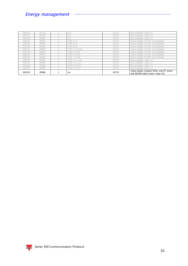| 300125 | 007Ch |   | n.a.                 | INT <sub>32</sub> | Not available, value $=0$                                                          |
|--------|-------|---|----------------------|-------------------|------------------------------------------------------------------------------------|
| 300127 | 007Eh |   | n.a.                 | INT32             | Not available, value $=0$                                                          |
| 300129 | 0080h |   | n.a.                 | INT32             | Not available, value $=0$                                                          |
| 300131 | 0082h |   | THD A L1             | INT32             | Value weight: %*100, not available                                                 |
| 300133 | 0084h |   | THD A L <sub>2</sub> | INT32             | Value weight: %*100, not available                                                 |
| 300135 | 0086h |   | THD A L3             | INT32             | Value weight: %*100, not available                                                 |
| 300137 | 0088h |   | THD V L-N svs        | INT32             | Value weight: %*100, not available                                                 |
| 300139 | 008Ah |   | THD V L1-N           | INT32             | Value weight: %*100, not available                                                 |
| 300141 | 008Ch |   | THD V L2-N           | INT32             | Value weight: %*100, not available                                                 |
| 300143 | 008Eh |   | THD V L3-N           | INT32             | Value weight: %*100, not available                                                 |
| 300145 | 0090h |   | THD V L-L sys        | INT32             | Not available, value $=0$                                                          |
| 300147 | 0092h |   | <b>THD V L1-L2</b>   | INT32             | Not available, value $=0$                                                          |
| 300149 | 0094h |   | <b>THD V L2-L3</b>   | INT32             | Not available, value $=0$                                                          |
| 300151 | 0096h |   | THD V L3-L1          | INT32             | Not available, value $=0$                                                          |
| 300153 | 0098h | 2 | An                   | INT32             | Value weight: Ampere*1000, only ET series<br>and EM330 (other cases: value = $0$ ) |

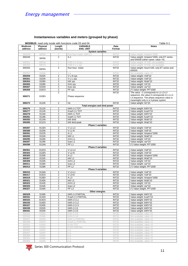### <span id="page-10-0"></span>**Instantaneous variables and meters (grouped by phase)**

f,

| <b>MODBUS:</b> read only mode with functions code 03 and 04 |  |  |  |
|-------------------------------------------------------------|--|--|--|
|                                                             |  |  |  |

|         |          |                         | <b>MODBUS:</b> read only mode with functions code 03 and 04 |                              | Table 0-1                                            |
|---------|----------|-------------------------|-------------------------------------------------------------|------------------------------|------------------------------------------------------|
| Modicom | Physical | Length                  | <b>VARIABLE</b>                                             | Data                         | <b>Notes</b>                                         |
| address | address  | (words)                 | <b>ENG. UNIT</b>                                            | Format                       |                                                      |
|         |          |                         |                                                             | <b>System variables</b>      |                                                      |
| 300249  | 00F6h    | 2                       | Run hour meter kWh (-                                       | INT32                        | Value weight: Ampere*1000                            |
| 300249  |          | $\overline{2}$          | Αn                                                          | INT32                        | Value weight: Ampere*1000, only ET series            |
|         | 00F8h    |                         |                                                             |                              | and EM330 (other cases: value = $0$ )                |
| 300251  | 00FAh    | $\overline{2}$          | THD V L-N sys                                               | INT32                        | Value weight: %*100, not available                   |
| 300253  | 00FCh    | $\overline{2}$          | THD V L-L sys                                               | INT32                        | Value weight: %*100, not available                   |
| 300255  |          | $\overline{2}$          | Run hour meter                                              | INT32                        |                                                      |
|         | 00FEh    |                         |                                                             |                              | Value weight: hours*100, only ET series and<br>EM330 |
|         |          |                         |                                                             |                              |                                                      |
| 300257  | 0100h    | $\overline{2}$          | n.a.                                                        | INT32                        | Not available, value $=0$                            |
| 300259  | 0102h    | $\overline{2}$          | V L-N sys                                                   | INT32                        | Value weight: Volt*10                                |
| 300261  | 0104h    | $\overline{\mathbf{c}}$ | V L-L sys                                                   | INT32                        | Value weight: Volt*10                                |
| 300263  | 0106h    | 2                       | kW sys                                                      | INT32                        | Value weight: Watt*10                                |
| 300265  | 0108h    | $\overline{\mathbf{c}}$ | kVA sys                                                     | INT32                        | Value weight: VA*10                                  |
| 300267  | 010Ah    | $\overline{\mathbf{c}}$ | kvar sys                                                    | INT32                        | Value weight: var*10                                 |
| 300269  | 010Ch    | $\overline{2}$          | PF sys                                                      | INT32                        | (*) Value weight: PF*1000                            |
|         |          | $\overline{2}$          |                                                             | INT32                        | The value -1 corresponds to L1-L3-L2                 |
|         |          |                         |                                                             |                              | sequence, the value 0 corresponds to L1-L2-          |
| 300271  | 010Eh    |                         | Phase sequence                                              |                              | L3 sequence. The phase sequence value is             |
|         |          |                         |                                                             |                              | meaningful only in a 3-phase system                  |
| 300273  | 0110h    | $\overline{2}$          | Hz                                                          | INT32                        | Value weight: Hz*10                                  |
|         |          |                         |                                                             |                              |                                                      |
|         |          |                         |                                                             | Total energies and dmd power |                                                      |
| 300275  | 0112h    | $\overline{2}$          | kWh (+) TOT                                                 | INT32                        | Value weight: kWh*10                                 |
| 300277  | 0114h    | 2                       | Kvarh (+) TOT                                               | INT32                        | Value weight: kvarh*10                               |
| 300279  | 0116h    | $\overline{2}$          | kWh (-) TOT                                                 | INT32                        | Value weight: kWh*10                                 |
| 300281  | 0118h    | $\overline{\mathbf{c}}$ | kvarh (-) TOT                                               | INT32                        | Value weight: kvarh*10                               |
| 300283  | 011Ah    | $\overline{2}$          | kW dmd                                                      | INT32                        | Value weight: Watt*10                                |
| 300285  | 011Ch    | 2                       | kW dmd peak                                                 | INT32                        | Value weight: Watt*10                                |
|         |          |                         |                                                             | Phase 1 variables            |                                                      |
| 300287  | 011Eh    | 2                       | <b>VL1-L2</b>                                               | INT32                        | Value weight: Volt*10                                |
| 300289  | 0120h    | 2                       | $V L1-N$                                                    | INT32                        | Value weight: Volt*10                                |
| 300291  | 0122h    |                         |                                                             | INT32                        |                                                      |
|         |          | $\overline{\mathbf{c}}$ | AL1                                                         |                              | Value weight: Ampere*1000                            |
| 300293  | 0124h    | $\overline{\mathbf{c}}$ | kW <sub>L1</sub>                                            | INT32                        | Value weight: Watt*10                                |
| 300295  | 0126h    | $\overline{2}$          | kVAL1                                                       | INT32                        | Value weight: VA*10                                  |
| 300297  | 0128h    | $\overline{c}$          | kvar L1                                                     | INT32                        | Value weight: var*10                                 |
| 300299  | 012Ah    | $\overline{2}$          | PF <sub>L1</sub>                                            | INT32                        | (*) Value weight: PF*1000                            |
|         |          |                         |                                                             | Phase 2 variables            |                                                      |
| 300301  | 012Ch    | $\overline{2}$          | $V$ L <sub>2</sub> -L <sub>3</sub>                          | INT32                        | Value weight: Volt*10                                |
| 300303  | 012Eh    | 2                       | $V$ L <sub>2</sub> -N                                       | INT32                        | Value weight: Volt*10                                |
| 300305  | 0130h    | $\overline{2}$          | A <sub>L2</sub>                                             | INT32                        | Value weight: Ampere*1000                            |
| 300307  | 0132h    | $\overline{2}$          | kW L2                                                       | INT32                        | Value weight: Watt*10                                |
|         | 0134h    |                         | kVAL <sub>2</sub>                                           | INT32                        | Value weight: VA*10                                  |
| 300309  |          | $\overline{2}$          |                                                             |                              |                                                      |
| 300311  | 0136h    | 2                       | kvar L <sub>2</sub>                                         | INT32                        | Value weight: var*10                                 |
| 300313  | 0138h    | $\overline{2}$          | PF <sub>L2</sub>                                            | INT32                        | (*) Value weight: PF*1000                            |
|         |          |                         |                                                             | Phase 3 variables            |                                                      |
| 300315  | 013Ah    | 2                       | $V$ L <sub>3</sub> -L <sub>1</sub>                          | INT32                        | Value weight: Volt*10                                |
| 300317  | 013Ch    | $\overline{2}$          | $V$ L <sub>3</sub> -N                                       | INT32                        | Value weight: Volt*10                                |
| 300319  | 013Eh    | $\overline{\mathbf{c}}$ | A L3                                                        | INT32                        | Value weight: Ampere*1000                            |
| 300321  | 0140h    | $\overline{2}$          | kW <sub>L3</sub>                                            | INT32                        | Value weight: Watt*10                                |
| 300323  | 0142h    | $\overline{2}$          | kVAL <sub>3</sub>                                           | INT32                        | Value weight: VA*10                                  |
| 300325  | 0144h    | $\overline{2}$          | kvar L3                                                     | INT32                        | Value weight: var*10                                 |
| 300327  | 0146h    | $\overline{c}$          | PF <sub>L3</sub>                                            | INT32                        | (*) Value weight: PF*1000                            |
|         |          |                         |                                                             | Other energies               |                                                      |
| 300329  | 0148h    | $\overline{c}$          | kWh (+) PARTIAL                                             | INT32                        | Value weight: kWh*10                                 |
|         |          |                         |                                                             |                              |                                                      |
| 300331  | 014Ah    | 2                       | Kvarh (+) PARTIAL                                           | INT32                        | Value weight: kvarh*10                               |
| 300333  | 014Ch    | 2                       | $kWh (+) L1$                                                | INT32                        | Value weight: kWh*10                                 |
| 300335  | 014Eh    | $\overline{\mathbf{c}}$ | kWh (+) L2                                                  | INT32                        | Value weight: kWh*10                                 |
| 300337  | 0150h    | $\overline{\mathbf{c}}$ | kWh (+) L3                                                  | INT32                        | Value weight: kWh*10                                 |
| 300339  | 0152h    | $\overline{\mathbf{c}}$ | kWh (+) t1                                                  | INT32                        | Value weight: kWh*10                                 |
| 300341  | 0154h    | $\overline{2}$          | kWh (+) t2                                                  | INT32                        | Value weight: kWh*10                                 |
| 300343  | 0156h    | $\mathbf{2}$            | kWh (+) t3                                                  | INT32                        | Not available, value $=0$                            |
| 300345  | 0158h    | $\mathbf{2}$            | $kWh (+) t4$                                                | INT32                        | Not available, value $=0$                            |
| 300347  |          |                         | kWh (-) PARTIAL                                             |                              | Not available, value $=0$                            |
|         | 015Ah    | 2                       |                                                             | INT32                        |                                                      |
| 300349  | 015Ch    | $\mathbf{2}$            | Kvarh (-) PARTIAL                                           | INT32                        | Not available, value $=0$                            |
| 300351  | 015Eh    | 2                       | kVAh TOT                                                    | INT32                        | Not available, value $=0$                            |
| 300353  | 0160h    | $\overline{2}$          | <b>kVAh PARTIAL</b>                                         | INT32                        | Not available, value $=0$                            |
| 300355  | 0162h    | $\mathbf{2}$            | n.a.                                                        | INT32                        | Not available, value $=0$                            |
| 300357  | 0164h    | $\mathbf{2}$            | n.a.                                                        | INT32                        | Not available, value $=0$                            |
| 300359  | 0166h    | $\overline{2}$          | n.a.                                                        | INT32                        | Not available, value $=0$                            |
| 300361  | 0168h    | 2                       | n.a.                                                        | INT32                        | Not available, value $=0$                            |
| 300363  | 016Ah    | $\mathbf{2}$            | n.a.                                                        | INT32                        | Not available, value $=0$                            |

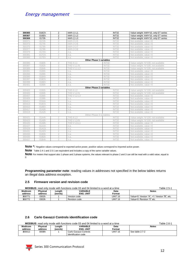| 300365 | 016Ch | 2              | kWh (-) L1         | INT32                          | Value weight: kWh*10, only ET series |
|--------|-------|----------------|--------------------|--------------------------------|--------------------------------------|
| 300367 | 016Eh | $\overline{2}$ | kWh (-) L2         | INT32                          | Value weight: kWh*10, only ET series |
| 300369 | 0170h | $\overline{2}$ | kWh (-) L3         | INT32                          | Value weight: kWh*10, only ET series |
| 300371 | 0172h | $\overline{2}$ | $kWh (+) t5$       | INT32                          | Not available, value $=0$            |
| 300373 | 0174h | $\overline{2}$ | $kWh (+)$ t $6$    | INT32                          | Not available, value $=0$            |
| 300375 | 0176h | $\overline{2}$ | $kWh (+) t7$       | INT32                          | Not available, value $=0$            |
| 300377 | 0178h | $\mathbf{2}$   | $kWh (+) t8$       | INT32                          | Not available, value $=0$            |
| 300379 | 017Ah | $\overline{2}$ | n.a.               | INT32                          | Not available, value $=0$            |
| 300381 | 017Ch | $\overline{2}$ | n.a.               | INT32                          | Not available, value $=0$            |
| 300383 | 017Eh | $\overline{2}$ | n.a.               | INT32                          | Not available, value $=0$            |
|        |       |                |                    | <b>Other Phase 1 variables</b> |                                      |
| 300385 | 0180h | 2              | THD A L1           | INT32                          | Value weight: %*100, not available   |
| 300387 | 0182h | $\mathbf{2}$   | THD V L1-N         | INT32                          | Value weight: %*100, not available   |
| 300389 | 0184h | $\overline{2}$ | THD V L1-L2        | <b>INT32</b>                   | Value weight: %*100, not available   |
| 300391 | 0186h | $\overline{2}$ | n.a.               | INT32                          | Not available, value $=0$            |
| 300393 | 0188h | $\overline{2}$ | n.a.               | INT32                          | Not available, value $=0$            |
| 300395 | 018Ah | $\overline{2}$ | n.a.               | INT32                          | Not available, value $=0$            |
| 300397 | 018Ch | $\overline{2}$ | n.a.               | INT32                          | Not available, value $=0$            |
| 300399 | 018Eh | $\mathbf{2}$   | n.a.               | INT32                          | Not available, value $=0$            |
| 300401 | 0190h | $\overline{2}$ | n.a.               | INT32                          | Not available, value $=0$            |
|        |       |                |                    | <b>Other Phase 2 variables</b> |                                      |
| 300403 | 0192h | $\overline{2}$ | THD A L2           | INT32                          | Value weight: %*100, not available   |
| 300405 | 0194h | $\overline{2}$ | THD V L2-N         | INT32                          | Value weight: %*100, not available   |
| 300407 | 0196h | $\overline{2}$ | <b>THD V L2-L3</b> | INT32                          | Not available, value $=0$            |
| 300409 | 0198h | $\overline{2}$ | n.a.               | INT32                          | Not available, value $=0$            |
| 300411 | 019Ah | $\overline{2}$ | n.a.               | INT32                          | Not available, value $=0$            |
| 300413 | 019Ch | $\overline{2}$ | n.a.               | INT32                          | Not available, value $=0$            |
| 300415 | 019Eh | $\overline{2}$ | n.a.               | INT32                          | Not available, value $=0$            |
| 300417 | 01A0h | $\overline{2}$ | n.a.               | INT32                          | Not available, value $=0$            |
| 300419 | 01A2h | $\overline{2}$ | n.a.               | INT32                          | Not available, value $=0$            |
|        |       |                |                    | Other Phase 3 variables        |                                      |
| 300421 | 01A4h | $\overline{2}$ | THD A L3           | INT32                          | Value weight: %*100, not available   |
| 300423 | 01A6h | $\mathbf{2}$   | THD V L3-N         | INT32                          | Value weight: %*100, not available   |
| 300425 | 01A8h | $\overline{2}$ | THD V L3-L1        | INT32                          | Not available, value $=0$            |
| 300427 | 01AAh | $\overline{2}$ | n.a.               | INT32                          | Not available, value $=0$            |
| 300429 | 01ACh | $\overline{2}$ | n.a.               | INT32                          | Not available, value $=0$            |
| 300431 | 01AEh | $\overline{2}$ | n.a.               | INT32                          | Not available, value $=0$            |
| 300433 | 01B0h | $\overline{2}$ | n.a.               | INT32                          | Not available, value $=0$            |
| 300435 | 01B2h | $\mathbf{2}$   | n.a.               | INT32                          | Not available, value $=0$            |
| 300437 | 01B4h | $\overline{2}$ | n.a.               | INT32                          | Not available, value $=0$            |

Note \*: Negative values correspond to exported active power, positive values correspond to imported active power.

Note Table 2.4-1 and 2.5-1 are equivalent and includes a copy of the same variable values.

**Note** For meters that support also 1-phase and 2-phase systems, the values relevant to phase 2 and 3 can still be read with a valid value, equal to 0

**Programming parameter note**: reading values in addresses not specified in the below tables returns an illegal data address exception.

#### <span id="page-11-0"></span>**2.5 Firmware version and revision code**

| <b>MODBUS:</b> | d only mode with functions code 03 and 04 limited to a word at a time<br>read | Table 2.5 |          |      |       |  |
|----------------|-------------------------------------------------------------------------------|-----------|----------|------|-------|--|
| odicom         | <b>Physical</b>                                                               | Lenath    | VARIABLE | Data | Notes |  |

| Modicom | Physical | Length  | VARIABLE       | Data       | Notes                                                    |
|---------|----------|---------|----------------|------------|----------------------------------------------------------|
| address | address  | (words) | . UNIT<br>ENG. | ™ormat     |                                                          |
| 30077'  | 0302h    |         | Version code   | UINT<br>16 | "В".<br>Value=0: Version "A".<br>Version<br>etc.<br>$=1$ |
| 300772  | 0303h    |         | Revision code  | UINT<br>16 | Value=0: Revision "0" etc.                               |

#### <span id="page-11-1"></span>**2.6 Carlo Gavazzi Controls identification code**

|  |  | <b>MODBUS:</b> read only mode with functions code 03 and 04 limited to a word at a time |  | ⊺able 2 |
|--|--|-----------------------------------------------------------------------------------------|--|---------|
|  |  |                                                                                         |  |         |

| <b>Modicom</b> | <b>Physical</b> | ∟ength  | VARIABLE               | Data    | <b>Notes</b>    |
|----------------|-----------------|---------|------------------------|---------|-----------------|
| address        | address         | (words) | <b>ENG. UNIT</b>       | Format  |                 |
| 300012         | 000Bh           |         | Carlo Gavazzi Controls | UINT 16 | See table 2.7-2 |
|                |                 |         | identification code    |         |                 |

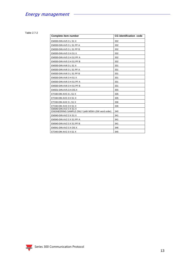Table 2.7-2

| Complete item number                                                        | <b>CG</b> identification code |
|-----------------------------------------------------------------------------|-------------------------------|
| EM330-DIN AV5 3 L S1 X                                                      | 332                           |
| EM330-DIN AV5 3 L S1 PF A                                                   | 332                           |
| EM330-DIN AV5 3 L S1 PF B                                                   | 332                           |
| EM330-DIN AV5 3 H S1 X                                                      | 332                           |
| EM330-DIN AV5 3 H S1 PF A                                                   | 332                           |
| EM330-DIN AV5 3 H S1 PF B                                                   | 332                           |
| EM330-DIN AV6 3 L S1 X                                                      | 331                           |
| EM330-DIN AV6 3 L S1 PF A                                                   | 331                           |
| EM330-DIN AV6 3 L S1 PF B                                                   | 331                           |
| EM330-DIN AV6 3 H S1 X                                                      | 331                           |
| EM330-DIN AV6 3 H S1 PF A                                                   | 331                           |
| <b>EM330-DIN AV6 3 H S1 PF B</b>                                            | 331                           |
| EM331-DIN.AV5.3.H.OS.X                                                      | 355                           |
| ET330-DIN AV5 3 L S1 X                                                      | 335                           |
| ET330-DIN AV5 3 H S1 X                                                      | 335                           |
| ET330-DIN AV6 3 L S1 X                                                      | 336                           |
| ET330-DIN AV6 3 H S1 X                                                      | 336                           |
| EM340-DIN AV2 3 X S1 X<br>ENGINEERING SAMPLE ONLY (with MSW-LSW word order) | 340                           |
| EM340-DIN AV2 3 X S1 X                                                      | 341                           |
| EM340-DIN AV2 3 X S1 PF A                                                   | 341                           |
| EM340-DIN AV2 3 X S1 PF B                                                   | 341                           |
| EM341-DIN AV2 3 X OS X                                                      | 346                           |
| ET340-DIN AV2 3 X S1 X                                                      | 345                           |

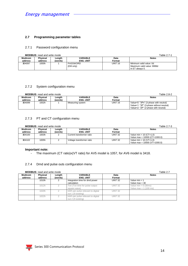#### <span id="page-13-0"></span>**2.7 Programming parameter tables**

#### <span id="page-13-1"></span>2.7.1 Password configuration menu

| <b>MODBUS:</b> read and write mode |                 |         |                  |                |                            |  |  |
|------------------------------------|-----------------|---------|------------------|----------------|----------------------------|--|--|
| <b>Modicom</b>                     | <b>Physical</b> | ∟ength  | <b>VARIABLE</b>  | Data           | <b>Notes</b>               |  |  |
| address                            | address         | (words) | <b>ENG. UNIT</b> | Format         |                            |  |  |
| 304097                             | 1000h           |         | PASSWORD         | <b>UINT 16</b> | Minimum valid value: 0d    |  |  |
|                                    |                 |         | (EM only)        |                | Maximum valid value: 9999d |  |  |
|                                    |                 |         |                  |                | In ET always 0.            |  |  |

#### <span id="page-13-2"></span>2.7.2 System configuration menu

**MODBUS:** read and write mode Table 2.8-2

|                |          |         |                  |         | .                                       |
|----------------|----------|---------|------------------|---------|-----------------------------------------|
| <b>Modicom</b> | Physical | Lenath  | VARIABLE         | Data    | <b>Notes</b>                            |
| address        | address  | (words) | <b>ENG. UNIT</b> | Format  |                                         |
| 304099         | 1002h    |         | Measuring system | UINT 16 | Value=0: "3Pn" (3-phase with neutral)   |
|                |          |         |                  |         | Value=1: "3P" (3-phase without neutral) |
|                |          |         |                  |         | Value=2: "2P" (2-phase with neutral)    |

#### <span id="page-13-3"></span>2.7.3 PT and CT configuration menu

|                | <b>MODBUS:</b> read and write mode | Table 2.7-3 |                           |                |                                     |
|----------------|------------------------------------|-------------|---------------------------|----------------|-------------------------------------|
| <b>Modicom</b> | Physical                           | Length      | VARIABLE                  | Data           | <b>Notes</b>                        |
| address        | address                            | (words)     | <b>ENG. UNIT</b>          | Format         |                                     |
| 304100         | 1003h                              |             | Current transformer ratio | <b>UINT 32</b> | Value min = $10$ (CT=1,0)           |
|                |                                    |             |                           |                | Value max = $10000$ (CT= $1000.0$ ) |
| 304102         | 1005h                              |             | Voltage transformer ratio | <b>UINT 32</b> | Value min = $10 (VT=1,0)$           |
|                |                                    |             |                           |                | Value max = $10000$ (VT= $1000.0$ ) |

#### **Important note:**

- The maximum (CT ratio)x(VT ratio) for AV5 model is 1057, for AV6 model is 3418.

#### <span id="page-13-4"></span>2.7.4 Dmd and pulse outs configuration menu

**MODBUS**: read and write mode **Table 2.7 Table 2.7** 

|                           | <b>MODDOJ.</b> ICAU ANU WIKE MOUC | i auit 4.7        |                                                          |                |                                                    |
|---------------------------|-----------------------------------|-------------------|----------------------------------------------------------|----------------|----------------------------------------------------|
| <b>Modicom</b><br>address | <b>Physical</b><br>address        | Length<br>(words) | VARIABLE<br><b>ENG. UNIT</b>                             | Data<br>Format | <b>Notes</b>                                       |
|                           | 1010h                             |                   | Integration time for dmd power<br>calculation            | <b>UINT 32</b> | Value $min = 1$<br>Value max = $30$                |
|                           | 1012h                             |                   | Ton (Ton time for pulse output<br>square wave)           | <b>UINT 32</b> | Value $min = 0$ (30ms)<br>Value max = $1$ (100 ms) |
|                           | 1020h                             |                   | kWh per pulse relevant to digital<br>out 1 (if existing) | <b>UINT 32</b> |                                                    |
|                           | 1022h                             |                   | kWh per pulse relevant to digital<br>out 2 (if existing) | <b>UINT 32</b> |                                                    |

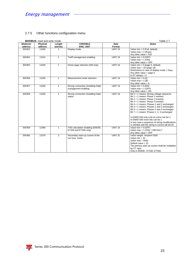#### <span id="page-14-0"></span>2.7.5 Other functions configuration menu

|                           | <b>MODBUS:</b> read and write mode |                   |                                                           | Table 2.7      |                                                                                                                                                                                                                                                                                                                                                                                                                                                                                                                                                |  |
|---------------------------|------------------------------------|-------------------|-----------------------------------------------------------|----------------|------------------------------------------------------------------------------------------------------------------------------------------------------------------------------------------------------------------------------------------------------------------------------------------------------------------------------------------------------------------------------------------------------------------------------------------------------------------------------------------------------------------------------------------------|--|
| <b>Modicom</b><br>address | Physical<br>address                | Length<br>(words) | <b>VARIABLE</b><br><b>ENG. UNIT</b>                       | Data<br>Format | <b>Notes</b>                                                                                                                                                                                                                                                                                                                                                                                                                                                                                                                                   |  |
| 304353                    | 1100h                              | 1                 | Display mode                                              | <b>UINT 16</b> | Value $min = 0$ (Full, default)<br>Value max = $1$ (Easy)<br>Any other value = Full                                                                                                                                                                                                                                                                                                                                                                                                                                                            |  |
| 304354                    | 1101h                              | $\mathbf{1}$      | Tariff management enabling                                | <b>UINT 16</b> | Value $min = 0$ (OFF)<br>Value max = $1$ (ON)<br>Any other value = OFF                                                                                                                                                                                                                                                                                                                                                                                                                                                                         |  |
| 304355                    | 1102h                              | $\mathbf{1}$      | Home page selection (EM only)                             | <b>UINT 16</b> | Value $min = 0$ (page 0, default)<br>Value max = $19$ (page 19)<br>Restrictions in case of display mode = Easy<br>Any other value = $page 0$<br>In ET always $= 0$                                                                                                                                                                                                                                                                                                                                                                             |  |
| 304356                    | 1103h                              | $\mathbf{1}$      | Measurement mode selection                                | <b>UINT 16</b> | Value min = $0(A)$<br>Value max = $1$ (B)<br>Any other value $= A$                                                                                                                                                                                                                                                                                                                                                                                                                                                                             |  |
| 304357                    | 1104h                              | $\mathbf{1}$      | Wrong connection (Installing help)<br>management enabling | <b>UINT 16</b> | Value $min = 0$ (ON)<br>Value max = $1$ (OFF)<br>Any other value $= ON$                                                                                                                                                                                                                                                                                                                                                                                                                                                                        |  |
| 304358                    | 1105h                              | $\mathbf{1}$      | Wrong connection (installing help)<br>status              | <b>UINT 16</b> | Bit $0 = 1$ means: Wrong voltage sequence<br>Bit $1 = 1$ means: Phase 1 inverted<br>Bit $2 = 1$ means: Phase 2 inverted<br>Bit $3 = 1$ means: Phase 3 inverted<br>Bit $4 = 1$ means: Phases 1 and 2 exchanged<br>Bit 5 = 1 means: Phases 1 and 3 exchanged<br>Bit 6 = 1 means: Phases 2 and 3 exchanged<br>Bit $7 = 1$ means: Phases 1, 2, 3 exchanged<br>In EM/ET330 only a bit at a time can be 1.<br>In EM/ET340 more bits can be 1.<br>In any case a sequence of wiring modifications<br>is needed until the wiring is correct (all bit=0) |  |
| 304359                    | 1106h                              | $\mathbf{1}$      | THD calculation enabling (EM330,<br>ET330 and ET340 only) | <b>UINT 16</b> | Value $min = 0$ (OFF)<br>Value $max = 1$ (ON) = DEFAULT<br>Any other value $=$ OFF                                                                                                                                                                                                                                                                                                                                                                                                                                                             |  |
| 304360                    | 1107h                              | 2                 | Secondary start-up current of the<br>run hour meter       | <b>UINT 32</b> | Value weight: Ampere*1000<br>Value $min = 10$<br>Value $max = 6000$<br>Default value = $10$<br>The primary start-up current shall be multiplied<br>by CT ratio.<br>Only in EM330, ET330, ET340.                                                                                                                                                                                                                                                                                                                                                |  |

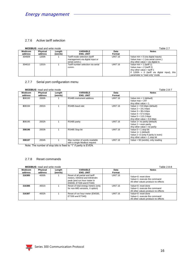#### <span id="page-15-0"></span>2.7.6 Active tariff selection

|                | <b>MODBUS:</b> read and write mode | Table 2.7 |                                    |                |                                               |
|----------------|------------------------------------|-----------|------------------------------------|----------------|-----------------------------------------------|
| <b>Modicom</b> | Physical                           | Length    | <b>VARIABLE</b>                    | Data           | <b>Notes</b>                                  |
| address        | address                            | (words)   | <b>ENG. UNIT</b>                   | Format         |                                               |
| 304609         | 1200h                              |           | Tariff mode selection (tariff      | <b>UINT 16</b> | Value $min = 0$ (via digital inputs)          |
|                |                                    |           | management via digital input or    |                | Value max = $1$ (via serial comm.)            |
|                |                                    |           | serial comm.)                      |                | Any other value $=$ via digital in.           |
| 304610         | 1201h                              |           | Tariff number selection via serial | <b>UINT 16</b> | Value $min = 1$ (tariff 1)                    |
|                |                                    |           | comm.                              |                | Value max = $2$ (tariff 2)                    |
|                |                                    |           |                                    |                | Any other value = tariff 1                    |
|                |                                    |           |                                    |                | If 1200h = 0 (tariff via digital input), this |
|                |                                    |           |                                    |                | parameter is "read only" mode                 |

#### <span id="page-15-1"></span>2.7.7 Serial port configuration menu

#### **MODBUS:** read and write mode Table 2.8-7

| $1$ university $1$ |          |         |                              |                |                                        |
|--------------------|----------|---------|------------------------------|----------------|----------------------------------------|
| <b>Modicom</b>     | Physical | Length  | VARIABLE                     | Data           | <b>Notes</b>                           |
| address            | address  | (words) | <b>ENG. UNIT</b>             | Format         |                                        |
| 308193             | 2000h    |         | RS485 instrument address     | <b>UINT 16</b> | Value $min = 1$ (default)              |
|                    |          |         |                              |                | Value max = $247$                      |
|                    |          |         |                              |                | Any other value $= 1$                  |
| 308194             | 2001h    |         | RS485 baud rate              | <b>UINT 16</b> | Value $1 = 9.6$ kbps (default)         |
|                    |          |         |                              |                | Value $2 = 19.2$ kbps                  |
|                    |          |         |                              |                | Value $3 = 38.4$ kbps                  |
|                    |          |         |                              |                | Value $4 = 57.6$ kbps                  |
|                    |          |         |                              |                | Value $5 = 115.2$ kbps                 |
|                    |          |         |                              |                | Any other value = $9.6$ kbps           |
| 308195             | 2002h    |         | RS485 parity                 | <b>UINT 16</b> | Value 1= no parity (default)           |
|                    |          |         |                              |                | Value $2 =$ even parity                |
|                    |          |         |                              |                | Any other value $=$ no parity          |
| 308196             | 2003h    |         | RS485 Stop bit               | <b>UINT 16</b> | Value $0 = 1$ stop bit                 |
|                    |          |         |                              |                | Value $1 = 1$ (default)                |
|                    |          |         |                              |                | Value $2 = 2$ (only if parity is even) |
|                    |          |         |                              |                | Any other value $=$ 1 stop bit         |
| 308197             | 2004h    |         | Max number of words readable | <b>UINT 16</b> | Value = $50$ (words), only reading     |
|                    |          |         | with a single Modbus request |                |                                        |

Note: The number of stop bits is fixed to "1" if parity is EVEN.

#### <span id="page-15-2"></span>2.7.8 Reset commands

|                           | <b>MODBUS:</b> read and write mode |                   |                                                                                                                       |                | Table 2.8-8                                                                                |
|---------------------------|------------------------------------|-------------------|-----------------------------------------------------------------------------------------------------------------------|----------------|--------------------------------------------------------------------------------------------|
| <b>Modicom</b><br>address | Physical<br>address                | Length<br>(words) | <b>VARIABLE</b><br><b>ENG. UNIT</b>                                                                                   | Data<br>Format | <b>Notes</b>                                                                               |
| 316385                    | 4000h                              |                   | Reset of all partial and tariff<br>meters, kWdmd and kWdmdm<br>peak (and run hour meter in<br>EM330, ET330 and ET340) | <b>UINT 16</b> | Value=0: reset done<br>Value=1: execute the command<br>All other values produce no effects |
| 316386                    | 4001h                              |                   | Reset of total energy meters (only<br>for non-MID versions, X option)                                                 | <b>UINT 16</b> | Value=0: reset done<br>Value=1: execute the command<br>All other values produce no effects |
| 316387                    | 4002h                              |                   | Reset of run hour meter (EM330,<br>ET330 and ET340)                                                                   | <b>UINT 16</b> | Value=0: reset done<br>Value=1: execute the command<br>All other values produce no effects |